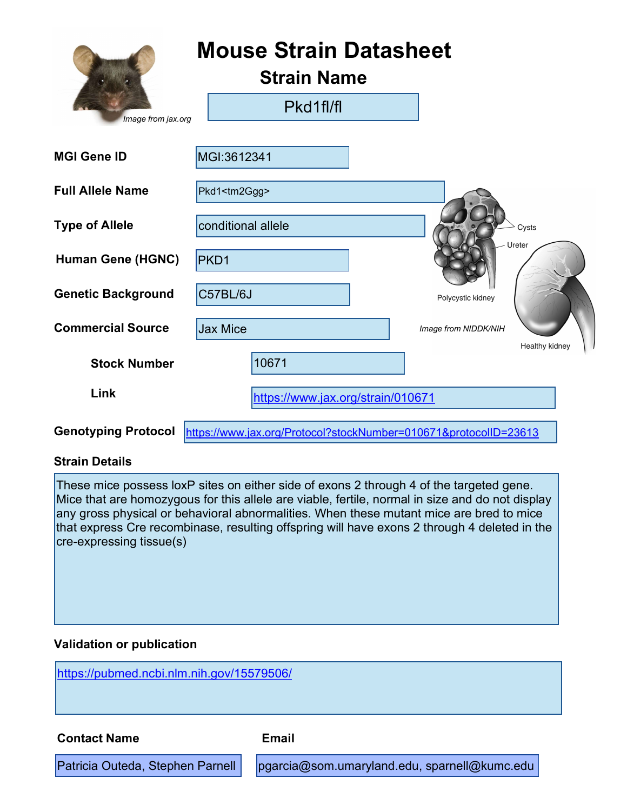|                            | <b>Mouse Strain Datasheet</b><br><b>Strain Name</b>              |                      |  |
|----------------------------|------------------------------------------------------------------|----------------------|--|
| Image from jax.org         | Pkd1fl/fl                                                        |                      |  |
| <b>MGI Gene ID</b>         | MGI:3612341                                                      |                      |  |
| <b>Full Allele Name</b>    | Pkd1 <tm2ggg></tm2ggg>                                           |                      |  |
| <b>Type of Allele</b>      | conditional allele                                               | Cysts                |  |
| <b>Human Gene (HGNC)</b>   | PKD1                                                             | Ureter               |  |
| <b>Genetic Background</b>  | C57BL/6J                                                         | Polycystic kidney    |  |
| <b>Commercial Source</b>   | <b>Jax Mice</b>                                                  | Image from NIDDK/NIH |  |
| <b>Stock Number</b>        | 10671                                                            | Healthy kidney       |  |
| Link                       | https://www.jax.org/strain/010671                                |                      |  |
| <b>Genotyping Protocol</b> | https://www.jax.org/Protocol?stockNumber=010671&protocolID=23613 |                      |  |

#### Strain Details

These mice possess loxP sites on either side of exons 2 through 4 of the targeted gene. Mice that are homozygous for this allele are viable, fertile, normal in size and do not display any gross physical or behavioral abnormalities. When these mutant mice are bred to mice that express Cre recombinase, resulting offspring will have exons 2 through 4 deleted in the cre-expressing tissue(s)

#### Validation or publication

https://pubmed.ncbi.nlm.nih.gov/15579506/ Patricia Outeda, Stephen Parnell | pgarcia@som.umaryland.edu, sparnell@kumc.edu Contact Name **Email**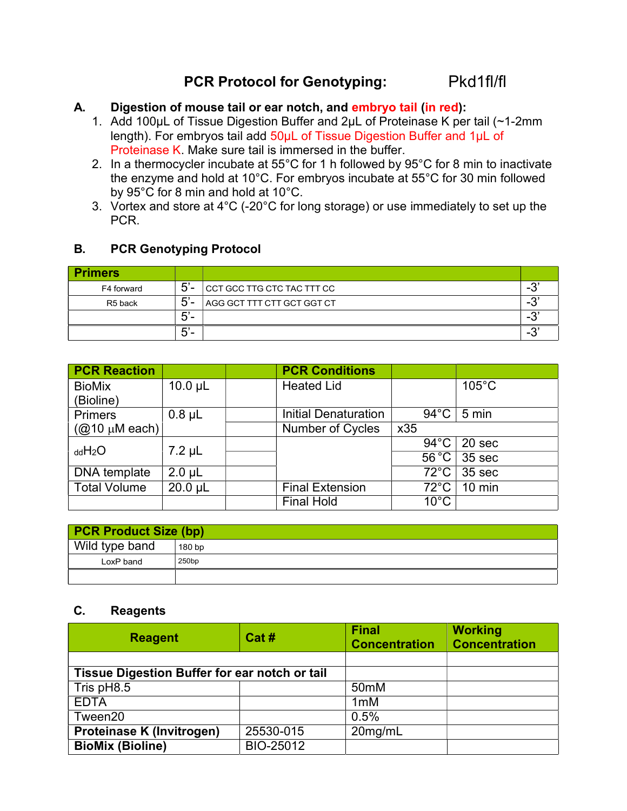# PCR Protocol for Genotyping: Pkd1fl/fl

### A. Digestion of mouse tail or ear notch, and embryo tail (in red):

- 1. Add 100µL of Tissue Digestion Buffer and 2µL of Proteinase K per tail (~1-2mm length). For embryos tail add 50µL of Tissue Digestion Buffer and 1µL of Proteinase K. Make sure tail is immersed in the buffer.
- 2. In a thermocycler incubate at 55°C for 1 h followed by 95°C for 8 min to inactivate the enzyme and hold at 10°C. For embryos incubate at 55°C for 30 min followed by 95°C for 8 min and hold at 10°C.
- 3. Vortex and store at 4°C (-20°C for long storage) or use immediately to set up the PCR.

## B. PCR Genotyping Protocol

| <b>Primers</b>      |           |                                   |                                    |
|---------------------|-----------|-----------------------------------|------------------------------------|
| F4 forward          | $5'$ -    | CCT GCC TTG CTC TAC TTT CC        | $\sim$<br>. .                      |
| R <sub>5</sub> back | $5'$ -    | <b>AGG GCT TTT CTT GCT GGT CT</b> | $\sim$<br>н.                       |
|                     | -<br>:ລ – |                                   | $\sim$<br>. .                      |
|                     | $5'$ -    |                                   | $\sim$<br>$\overline{\phantom{a}}$ |

| <b>PCR Reaction</b> |              | <b>PCR Conditions</b>       |                 |                   |
|---------------------|--------------|-----------------------------|-----------------|-------------------|
| <b>BioMix</b>       | $10.0 \mu L$ | <b>Heated Lid</b>           |                 | $105^{\circ}$ C   |
| (Bioline)           |              |                             |                 |                   |
| <b>Primers</b>      | $0.8 \mu L$  | <b>Initial Denaturation</b> | 94 $^{\circ}$ C | 5 min             |
| $(Q10 \mu M$ each)  |              | Number of Cycles            | x35             |                   |
| ddH <sub>2</sub> O  | $7.2 \mu L$  |                             | $94^{\circ}$ C  | 20 sec            |
|                     |              |                             | $56^{\circ}$ C  | 35 sec            |
| DNA template        | $2.0 \mu L$  |                             | $72^{\circ}$ C  | 35 <sub>sec</sub> |
| <b>Total Volume</b> | $20.0$ µL    | <b>Final Extension</b>      | $72^{\circ}$ C  | $10 \text{ min}$  |
|                     |              | <b>Final Hold</b>           | $10^{\circ}$ C  |                   |

| <b>PCR Product Size (bp)</b> |                   |  |
|------------------------------|-------------------|--|
| Wild type band               | 180 <sub>bp</sub> |  |
| LoxP band                    | 250bp             |  |
|                              |                   |  |

#### C. Reagents

| <b>Reagent</b>                                | Cat#      | <b>Final</b><br><b>Concentration</b> | <b>Working</b><br><b>Concentration</b> |
|-----------------------------------------------|-----------|--------------------------------------|----------------------------------------|
|                                               |           |                                      |                                        |
| Tissue Digestion Buffer for ear notch or tail |           |                                      |                                        |
| Tris pH8.5                                    |           | 50 <sub>mM</sub>                     |                                        |
| <b>EDTA</b>                                   |           | 1 <sub>m</sub> M                     |                                        |
| Tween20                                       |           | 0.5%                                 |                                        |
| <b>Proteinase K (Invitrogen)</b>              | 25530-015 | 20mg/mL                              |                                        |
| <b>BioMix (Bioline)</b>                       | BIO-25012 |                                      |                                        |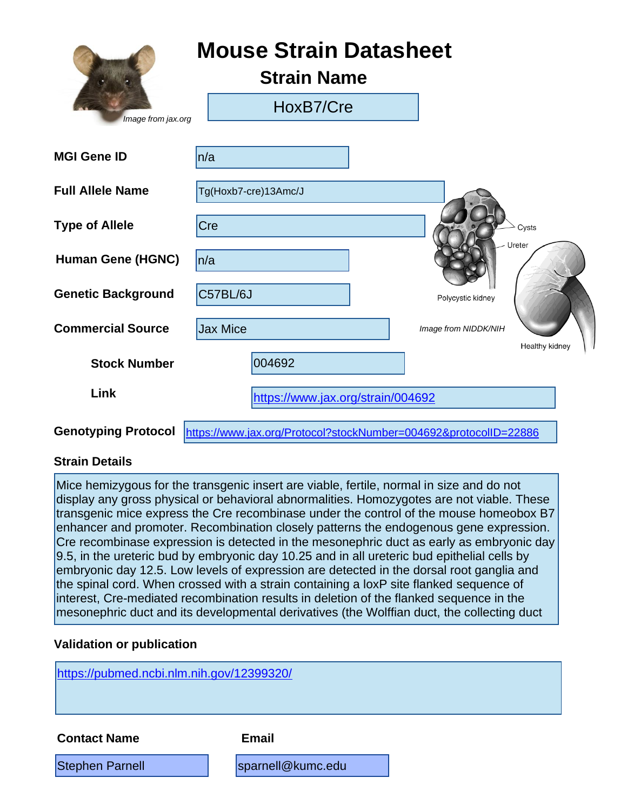|                            | <b>Mouse Strain Datasheet</b><br><b>Strain Name</b>              |                      |                |
|----------------------------|------------------------------------------------------------------|----------------------|----------------|
| Image from jax.org         | HoxB7/Cre                                                        |                      |                |
| <b>MGI Gene ID</b>         | n/a                                                              |                      |                |
| <b>Full Allele Name</b>    | Tg(Hoxb7-cre)13Amc/J                                             |                      |                |
| <b>Type of Allele</b>      | Cre                                                              |                      | Cysts          |
| <b>Human Gene (HGNC)</b>   | ln/a                                                             | Ureter               |                |
| <b>Genetic Background</b>  | C57BL/6J                                                         | Polycystic kidney    |                |
| <b>Commercial Source</b>   | <b>Jax Mice</b>                                                  | Image from NIDDK/NIH |                |
| <b>Stock Number</b>        | 004692                                                           |                      | Healthy kidney |
| Link                       | https://www.jax.org/strain/004692                                |                      |                |
| <b>Genotyping Protocol</b> | https://www.jax.org/Protocol?stockNumber=004692&protocolID=22886 |                      |                |

#### **Strain Details**

Mice hemizygous for the transgenic insert are viable, fertile, normal in size and do not display any gross physical or behavioral abnormalities. Homozygotes are not viable. These transgenic mice express the Cre recombinase under the control of the mouse homeobox B7 enhancer and promoter. Recombination closely patterns the endogenous gene expression. Cre recombinase expression is detected in the mesonephric duct as early as embryonic day 9.5, in the ureteric bud by embryonic day 10.25 and in all ureteric bud epithelial cells by embryonic day 12.5. Low levels of expression are detected in the dorsal root ganglia and the spinal cord. When crossed with a strain containing a loxP site flanked sequence of interest, Cre-mediated recombination results in deletion of the flanked sequence in the mesonephric duct and its developmental derivatives (the Wolffian duct, the collecting duct

#### **Validation or publication**

<https://pubmed.ncbi.nlm.nih.gov/12399320/> Stephen Parnell **Stephen Parnell** [sparnell@kumc.edu](mailto:sparnell@kumc.edu) **Contact Name Email**